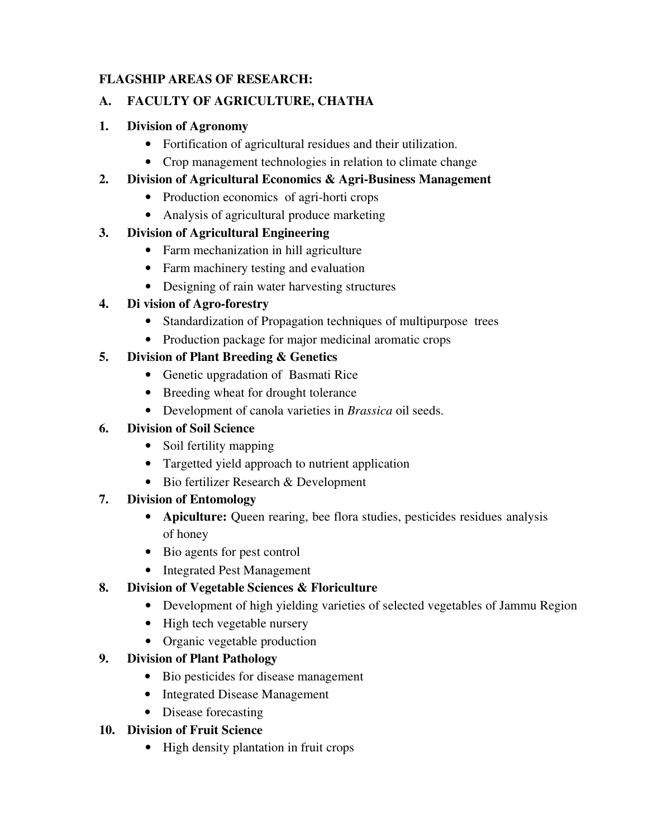### **FLAGSHIP AREAS OF RESEARCH:**

### **A. FACULTY OF AGRICULTURE, CHATHA**

### **1. Division of Agronomy**

- Fortification of agricultural residues and their utilization.
- Crop management technologies in relation to climate change

### **2. Division of Agricultural Economics & Agri-Business Management**

- Production economics of agri-horti crops
- Analysis of agricultural produce marketing

## **3. Division of Agricultural Engineering**

- Farm mechanization in hill agriculture
- Farm machinery testing and evaluation
- Designing of rain water harvesting structures

## **4. Di vision of Agro-forestry**

- Standardization of Propagation techniques of multipurpose trees
- Production package for major medicinal aromatic crops

### **5. Division of Plant Breeding & Genetics**

- Genetic upgradation of Basmati Rice
- Breeding wheat for drought tolerance
- Development of canola varieties in *Brassica* oil seeds.

## **6. Division of Soil Science**

- Soil fertility mapping
- Targetted yield approach to nutrient application
- Bio fertilizer Research & Development

#### **7. Division of Entomology**

- **Apiculture:** Queen rearing, bee flora studies, pesticides residues analysis of honey
- Bio agents for pest control
- Integrated Pest Management

## **8. Division of Vegetable Sciences & Floriculture**

- Development of high yielding varieties of selected vegetables of Jammu Region
- High tech vegetable nursery
- Organic vegetable production

## **9. Division of Plant Pathology**

- Bio pesticides for disease management
- Integrated Disease Management
- Disease forecasting

## **10. Division of Fruit Science**

• High density plantation in fruit crops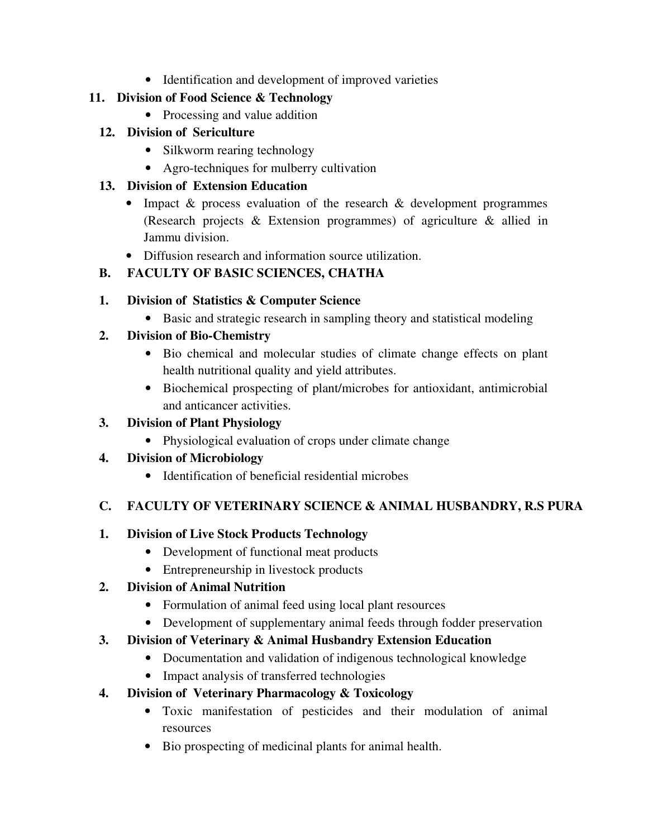• Identification and development of improved varieties

#### **11. Division of Food Science & Technology**

• Processing and value addition

#### **12. Division of Sericulture**

- Silkworm rearing technology
- Agro-techniques for mulberry cultivation

#### **13. Division of Extension Education**

- Impact & process evaluation of the research & development programmes (Research projects & Extension programmes) of agriculture & allied in Jammu division.
- Diffusion research and information source utilization.

## **B. FACULTY OF BASIC SCIENCES, CHATHA**

### **1. Division of Statistics & Computer Science**

• Basic and strategic research in sampling theory and statistical modeling

## **2. Division of Bio-Chemistry**

- Bio chemical and molecular studies of climate change effects on plant health nutritional quality and yield attributes.
- Biochemical prospecting of plant/microbes for antioxidant, antimicrobial and anticancer activities.

### **3. Division of Plant Physiology**

• Physiological evaluation of crops under climate change

## **4. Division of Microbiology**

• Identification of beneficial residential microbes

## **C. FACULTY OF VETERINARY SCIENCE & ANIMAL HUSBANDRY, R.S PURA**

#### **1. Division of Live Stock Products Technology**

- Development of functional meat products
- Entrepreneurship in livestock products

## **2. Division of Animal Nutrition**

- Formulation of animal feed using local plant resources
- Development of supplementary animal feeds through fodder preservation

## **3. Division of Veterinary & Animal Husbandry Extension Education**

- Documentation and validation of indigenous technological knowledge
- Impact analysis of transferred technologies

## **4. Division of Veterinary Pharmacology & Toxicology**

- Toxic manifestation of pesticides and their modulation of animal resources
- Bio prospecting of medicinal plants for animal health.